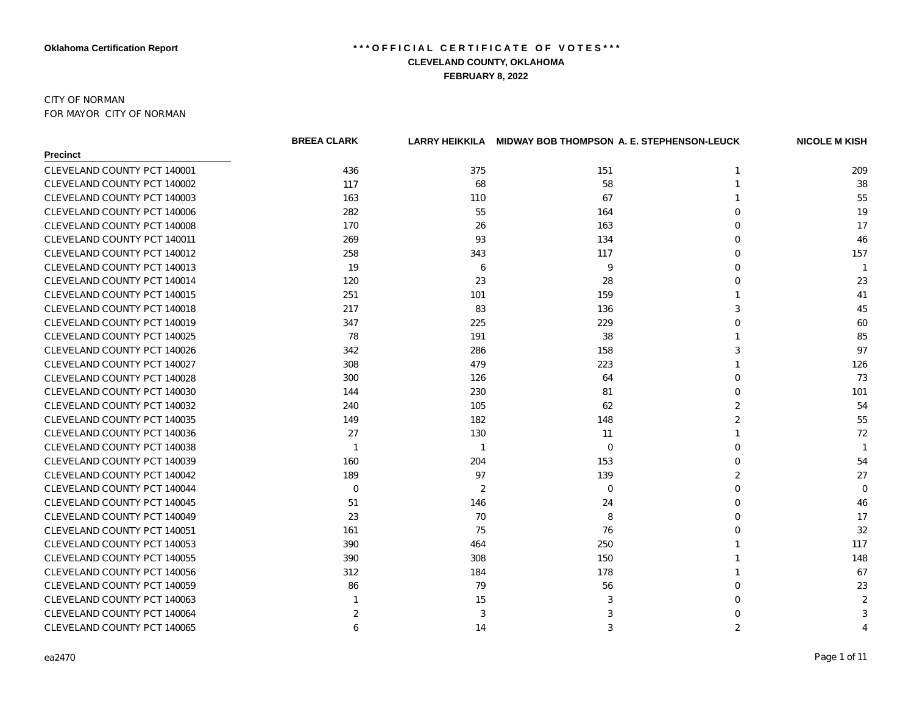### CITY OF NORMAN FOR MAYOR CITY OF NORMAN

|                             | <b>BREEA CLARK</b> |                | LARRY HEIKKILA MIDWAY BOB THOMPSON A. E. STEPHENSON-LEUCK |          | <b>NICOLE M KISH</b> |
|-----------------------------|--------------------|----------------|-----------------------------------------------------------|----------|----------------------|
| <b>Precinct</b>             |                    |                |                                                           |          |                      |
| CLEVELAND COUNTY PCT 140001 | 436                | 375            | 151                                                       | -1       | 209                  |
| CLEVELAND COUNTY PCT 140002 | 117                | 68             | 58                                                        |          | 38                   |
| CLEVELAND COUNTY PCT 140003 | 163                | 110            | 67                                                        |          | 55                   |
| CLEVELAND COUNTY PCT 140006 | 282                | 55             | 164                                                       | O        | 19                   |
| CLEVELAND COUNTY PCT 140008 | 170                | 26             | 163                                                       |          | 17                   |
| CLEVELAND COUNTY PCT 140011 | 269                | 93             | 134                                                       | O        | 46                   |
| CLEVELAND COUNTY PCT 140012 | 258                | 343            | 117                                                       | $\Omega$ | 157                  |
| CLEVELAND COUNTY PCT 140013 | 19                 | 6              | 9                                                         | O        | $\overline{1}$       |
| CLEVELAND COUNTY PCT 140014 | 120                | 23             | 28                                                        |          | 23                   |
| CLEVELAND COUNTY PCT 140015 | 251                | 101            | 159                                                       |          | 41                   |
| CLEVELAND COUNTY PCT 140018 | 217                | 83             | 136                                                       |          | 45                   |
| CLEVELAND COUNTY PCT 140019 | 347                | 225            | 229                                                       |          | 60                   |
| CLEVELAND COUNTY PCT 140025 | 78                 | 191            | 38                                                        |          | 85                   |
| CLEVELAND COUNTY PCT 140026 | 342                | 286            | 158                                                       |          | 97                   |
| CLEVELAND COUNTY PCT 140027 | 308                | 479            | 223                                                       |          | 126                  |
| CLEVELAND COUNTY PCT 140028 | 300                | 126            | 64                                                        | ∩        | 73                   |
| CLEVELAND COUNTY PCT 140030 | 144                | 230            | 81                                                        | ∩        | 101                  |
| CLEVELAND COUNTY PCT 140032 | 240                | 105            | 62                                                        |          | 54                   |
| CLEVELAND COUNTY PCT 140035 | 149                | 182            | 148                                                       | 2        | 55                   |
| CLEVELAND COUNTY PCT 140036 | 27                 | 130            | 11                                                        |          | 72                   |
| CLEVELAND COUNTY PCT 140038 | -1                 | $\mathbf 1$    | $\Omega$                                                  |          | -1                   |
| CLEVELAND COUNTY PCT 140039 | 160                | 204            | 153                                                       |          | 54                   |
| CLEVELAND COUNTY PCT 140042 | 189                | 97             | 139                                                       |          | 27                   |
| CLEVELAND COUNTY PCT 140044 | $\mathbf 0$        | $\overline{2}$ | 0                                                         |          | 0                    |
| CLEVELAND COUNTY PCT 140045 | 51                 | 146            | 24                                                        |          | 46                   |
| CLEVELAND COUNTY PCT 140049 | 23                 | 70             | 8                                                         |          | 17                   |
| CLEVELAND COUNTY PCT 140051 | 161                | 75             | 76                                                        |          | 32                   |
| CLEVELAND COUNTY PCT 140053 | 390                | 464            | 250                                                       |          | 117                  |
| CLEVELAND COUNTY PCT 140055 | 390                | 308            | 150                                                       |          | 148                  |
| CLEVELAND COUNTY PCT 140056 | 312                | 184            | 178                                                       |          | 67                   |
| CLEVELAND COUNTY PCT 140059 | 86                 | 79             | 56                                                        | ∩        | 23                   |
| CLEVELAND COUNTY PCT 140063 |                    | 15             | 3                                                         |          | $\overline{2}$       |
| CLEVELAND COUNTY PCT 140064 | 2                  | 3              |                                                           |          | 3                    |
| CLEVELAND COUNTY PCT 140065 | 6                  | 14             | 3                                                         | 2        | 4                    |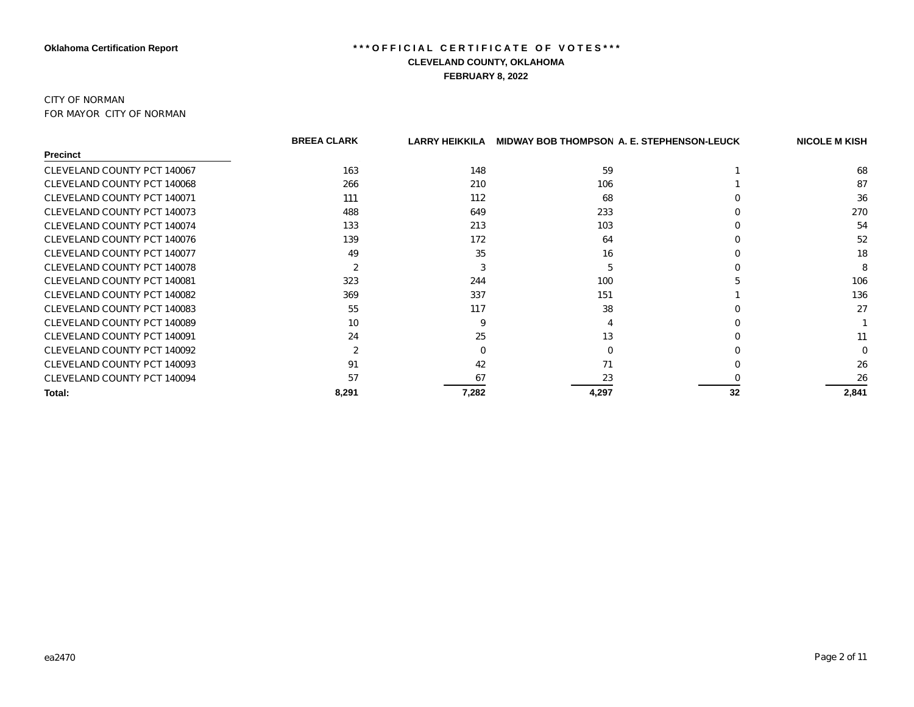#### CITY OF NORMAN FOR MAYOR CITY OF NORMAN

|                             | <b>BREEA CLARK</b> | LARRY HEIKKILA |       | <b>MIDWAY BOB THOMPSON A. E. STEPHENSON-LEUCK</b> | <b>NICOLE M KISH</b> |
|-----------------------------|--------------------|----------------|-------|---------------------------------------------------|----------------------|
| Precinct                    |                    |                |       |                                                   |                      |
| CLEVELAND COUNTY PCT 140067 | 163                | 148            | 59    |                                                   | 68                   |
| CLEVELAND COUNTY PCT 140068 | 266                | 210            | 106   |                                                   | 87                   |
| CLEVELAND COUNTY PCT 140071 | 111                | 112            | 68    |                                                   | 36                   |
| CLEVELAND COUNTY PCT 140073 | 488                | 649            | 233   |                                                   | 270                  |
| CLEVELAND COUNTY PCT 140074 | 133                | 213            | 103   |                                                   | 54                   |
| CLEVELAND COUNTY PCT 140076 | 139                | 172            | 64    |                                                   | 52                   |
| CLEVELAND COUNTY PCT 140077 | 49                 | 35             | 16    |                                                   | 18                   |
| CLEVELAND COUNTY PCT 140078 | $\overline{2}$     |                |       |                                                   | 8                    |
| CLEVELAND COUNTY PCT 140081 | 323                | 244            | 100   |                                                   | 106                  |
| CLEVELAND COUNTY PCT 140082 | 369                | 337            | 151   |                                                   | 136                  |
| CLEVELAND COUNTY PCT 140083 | 55                 | 117            | 38    |                                                   | 27                   |
| CLEVELAND COUNTY PCT 140089 | 10                 |                |       |                                                   |                      |
| CLEVELAND COUNTY PCT 140091 | 24                 | 25             | 13    |                                                   | 11                   |
| CLEVELAND COUNTY PCT 140092 | 2                  |                |       |                                                   |                      |
| CLEVELAND COUNTY PCT 140093 | 91                 | 42             | 71    |                                                   | 26                   |
| CLEVELAND COUNTY PCT 140094 | 57                 | 67             | 23    |                                                   | 26                   |
| Total:                      | 8,291              | 7,282          | 4,297 | 32                                                | 2,841                |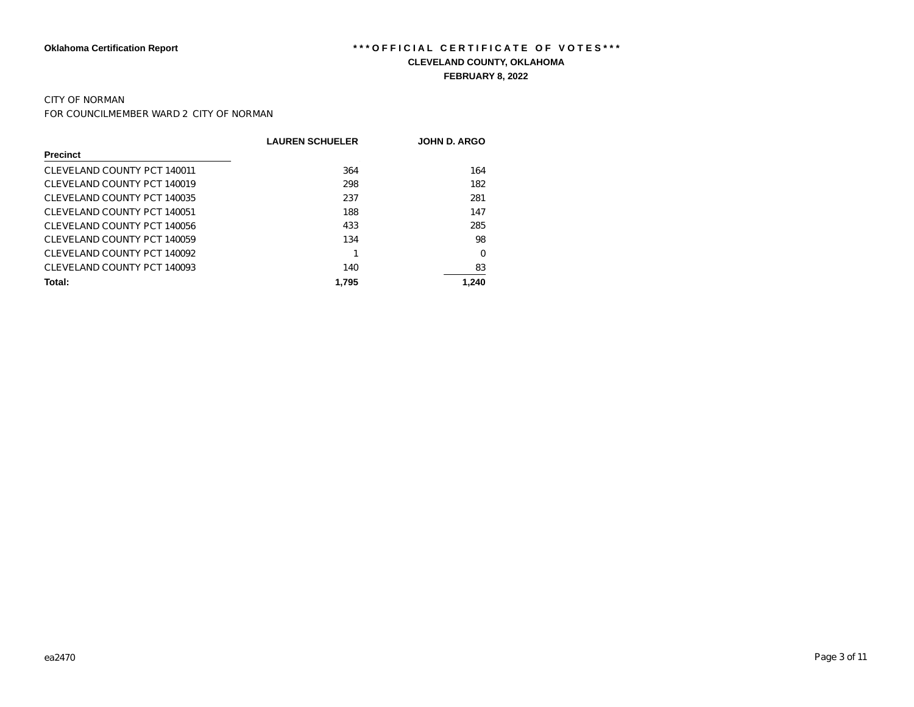# CITY OF NORMAN

FOR COUNCILMEMBER WARD 2 CITY OF NORMAN

|                             | <b>LAUREN SCHUELER</b> | <b>JOHN D. ARGO</b> |
|-----------------------------|------------------------|---------------------|
| <b>Precinct</b>             |                        |                     |
| CLEVELAND COUNTY PCT 140011 | 364                    | 164                 |
| CLEVELAND COUNTY PCT 140019 | 298                    | 182                 |
| CLEVELAND COUNTY PCT 140035 | 237                    | 281                 |
| CLEVELAND COUNTY PCT 140051 | 188                    | 147                 |
| CLEVELAND COUNTY PCT 140056 | 433                    | 285                 |
| CLEVELAND COUNTY PCT 140059 | 134                    | 98                  |
| CLEVELAND COUNTY PCT 140092 |                        | 0                   |
| CLEVELAND COUNTY PCT 140093 | 140                    | 83                  |
| Total:                      | 1.795                  | 1.240               |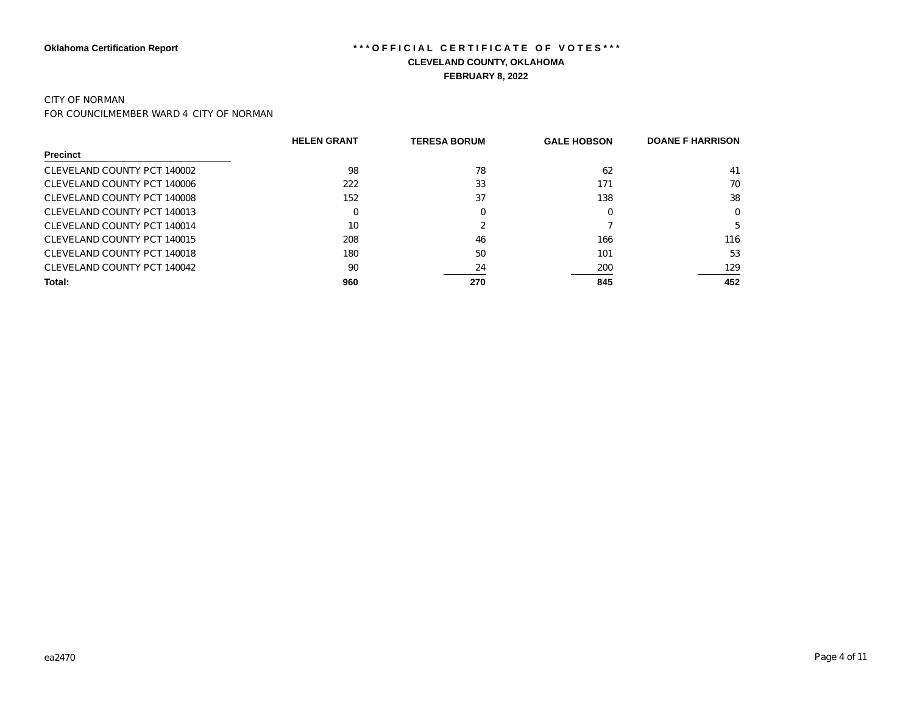### CITY OF NORMAN

FOR COUNCILMEMBER WARD 4 CITY OF NORMAN

|                             | <b>HELEN GRANT</b> | <b>TERESA BORUM</b> | <b>GALE HOBSON</b> | <b>DOANE F HARRISON</b> |
|-----------------------------|--------------------|---------------------|--------------------|-------------------------|
| <b>Precinct</b>             |                    |                     |                    |                         |
| CLEVELAND COUNTY PCT 140002 | 98                 | 78                  | 62                 | 41                      |
| CLEVELAND COUNTY PCT 140006 | 222                | 33                  | 171                | 70                      |
| CLEVELAND COUNTY PCT 140008 | 152                | 37                  | 138                | 38                      |
| CLEVELAND COUNTY PCT 140013 |                    |                     | 0                  | $\Omega$                |
| CLEVELAND COUNTY PCT 140014 | 10                 |                     |                    | 5                       |
| CLEVELAND COUNTY PCT 140015 | 208                | 46                  | 166                | 116                     |
| CLEVELAND COUNTY PCT 140018 | 180                | 50                  | 101                | 53                      |
| CLEVELAND COUNTY PCT 140042 | 90                 | 24                  | 200                | 129                     |
| Total:                      | 960                | 270                 | 845                | 452                     |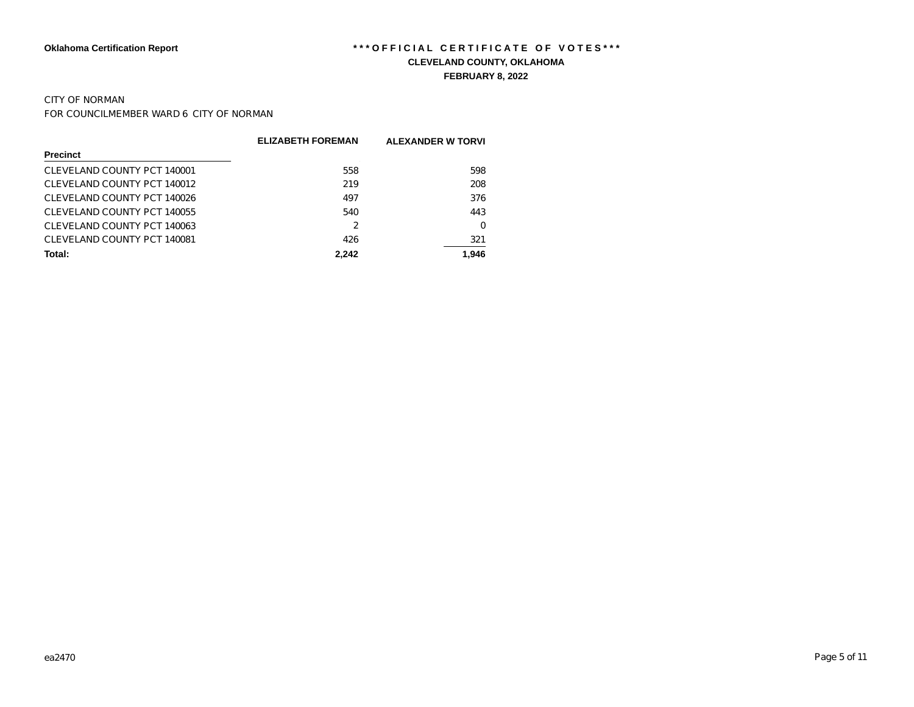# CITY OF NORMAN

FOR COUNCILMEMBER WARD 6 CITY OF NORMAN

|                             | <b>ELIZABETH FOREMAN</b> | <b>ALEXANDER W TORVI</b> |
|-----------------------------|--------------------------|--------------------------|
| <b>Precinct</b>             |                          |                          |
| CLEVELAND COUNTY PCT 140001 | 558                      | 598                      |
| CLEVELAND COUNTY PCT 140012 | 219                      | 208                      |
| CLEVELAND COUNTY PCT 140026 | 497                      | 376                      |
| CLEVELAND COUNTY PCT 140055 | 540                      | 443                      |
| CLEVELAND COUNTY PCT 140063 | 2                        | 0                        |
| CLEVELAND COUNTY PCT 140081 | 426                      | 321                      |
| Total:                      | 2.242                    | 1.946                    |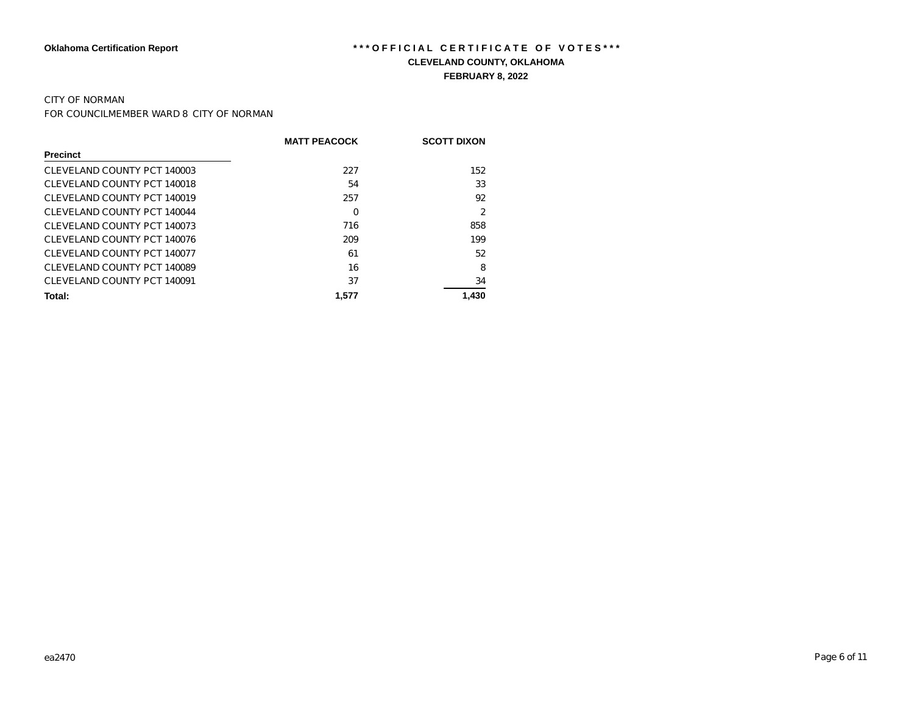### CITY OF NORMAN

FOR COUNCILMEMBER WARD 8 CITY OF NORMAN

|                             | <b>MATT PEACOCK</b> | <b>SCOTT DIXON</b> |
|-----------------------------|---------------------|--------------------|
| <b>Precinct</b>             |                     |                    |
| CLEVELAND COUNTY PCT 140003 | 227                 | 152                |
| CLEVELAND COUNTY PCT 140018 | 54                  | 33                 |
| CLEVELAND COUNTY PCT 140019 | 257                 | 92                 |
| CLEVELAND COUNTY PCT 140044 | 0                   | 2                  |
| CLEVELAND COUNTY PCT 140073 | 716                 | 858                |
| CLEVELAND COUNTY PCT 140076 | 209                 | 199                |
| CLEVELAND COUNTY PCT 140077 | 61                  | 52                 |
| CLEVELAND COUNTY PCT 140089 | 16                  | 8                  |
| CLEVELAND COUNTY PCT 140091 | 37                  | 34                 |
| Total:                      | 1.577               | 1.430              |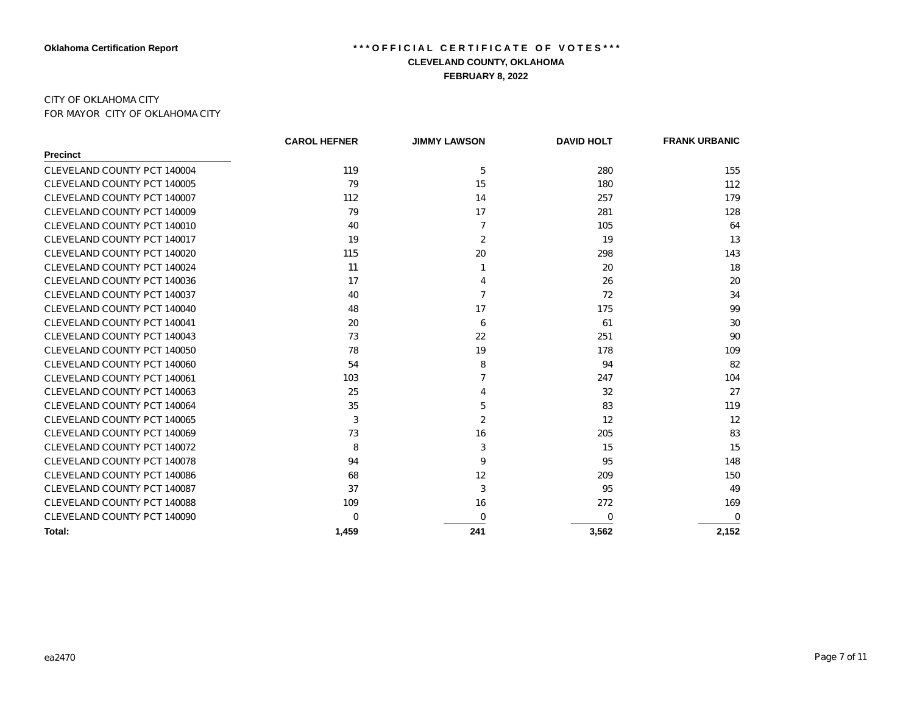### CITY OF OKLAHOMA CITY FOR MAYOR CITY OF OKLAHOMA CITY

|                             | <b>CAROL HEFNER</b> | <b>JIMMY LAWSON</b> | <b>DAVID HOLT</b> | <b>FRANK URBANIC</b> |
|-----------------------------|---------------------|---------------------|-------------------|----------------------|
| <b>Precinct</b>             |                     |                     |                   |                      |
| CLEVELAND COUNTY PCT 140004 | 119                 | 5                   | 280               | 155                  |
| CLEVELAND COUNTY PCT 140005 | 79                  | 15                  | 180               | 112                  |
| CLEVELAND COUNTY PCT 140007 | 112                 | 14                  | 257               | 179                  |
| CLEVELAND COUNTY PCT 140009 | 79                  | 17                  | 281               | 128                  |
| CLEVELAND COUNTY PCT 140010 | 40                  | 7                   | 105               | 64                   |
| CLEVELAND COUNTY PCT 140017 | 19                  | 2                   | 19                | 13                   |
| CLEVELAND COUNTY PCT 140020 | 115                 | 20                  | 298               | 143                  |
| CLEVELAND COUNTY PCT 140024 | 11                  |                     | 20                | 18                   |
| CLEVELAND COUNTY PCT 140036 | 17                  | 4                   | 26                | 20                   |
| CLEVELAND COUNTY PCT 140037 | 40                  | $\overline{7}$      | 72                | 34                   |
| CLEVELAND COUNTY PCT 140040 | 48                  | 17                  | 175               | 99                   |
| CLEVELAND COUNTY PCT 140041 | 20                  | 6                   | 61                | 30                   |
| CLEVELAND COUNTY PCT 140043 | 73                  | 22                  | 251               | 90                   |
| CLEVELAND COUNTY PCT 140050 | 78                  | 19                  | 178               | 109                  |
| CLEVELAND COUNTY PCT 140060 | 54                  | 8                   | 94                | 82                   |
| CLEVELAND COUNTY PCT 140061 | 103                 | 7                   | 247               | 104                  |
| CLEVELAND COUNTY PCT 140063 | 25                  | 4                   | 32                | 27                   |
| CLEVELAND COUNTY PCT 140064 | 35                  | 5                   | 83                | 119                  |
| CLEVELAND COUNTY PCT 140065 | 3                   | 2                   | 12                | 12                   |
| CLEVELAND COUNTY PCT 140069 | 73                  | 16                  | 205               | 83                   |
| CLEVELAND COUNTY PCT 140072 | 8                   | 3                   | 15                | 15                   |
| CLEVELAND COUNTY PCT 140078 | 94                  | 9                   | 95                | 148                  |
| CLEVELAND COUNTY PCT 140086 | 68                  | 12                  | 209               | 150                  |
| CLEVELAND COUNTY PCT 140087 | 37                  | 3                   | 95                | 49                   |
| CLEVELAND COUNTY PCT 140088 | 109                 | 16                  | 272               | 169                  |
| CLEVELAND COUNTY PCT 140090 | $\Omega$            | $\Omega$            | 0                 | $\Omega$             |
| Total:                      | 1,459               | 241                 | 3,562             | 2,152                |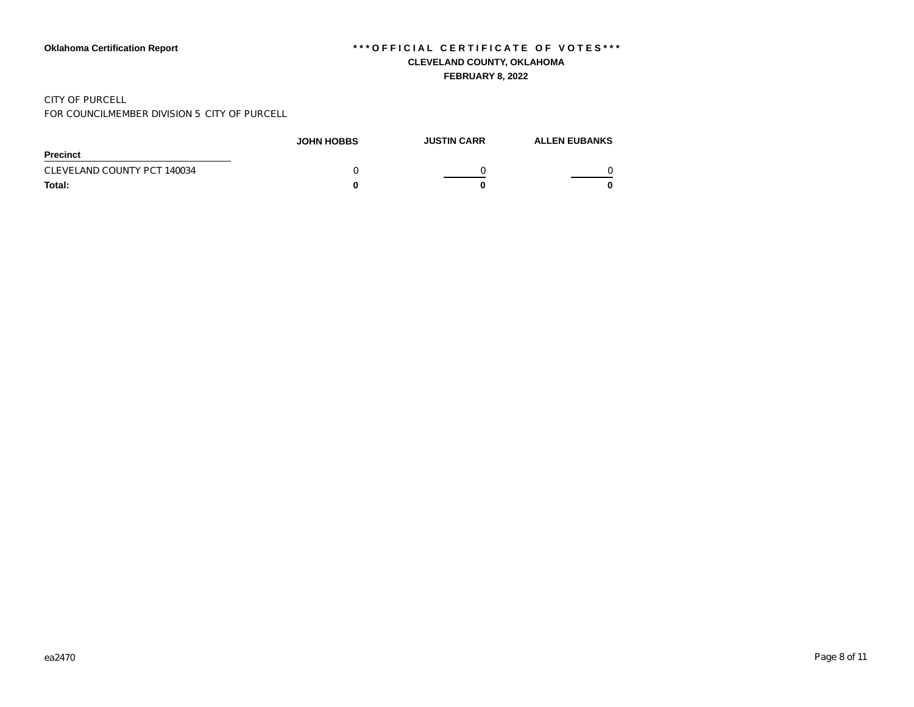#### CITY OF PURCELL

FOR COUNCILMEMBER DIVISION 5 CITY OF PURCELL

|                             | <b>JOHN HOBBS</b> | <b>JUSTIN CARR</b> | <b>ALLEN EUBANKS</b> |
|-----------------------------|-------------------|--------------------|----------------------|
| <b>Precinct</b>             |                   |                    |                      |
| CLEVELAND COUNTY PCT 140034 |                   |                    |                      |
| Total:                      |                   |                    |                      |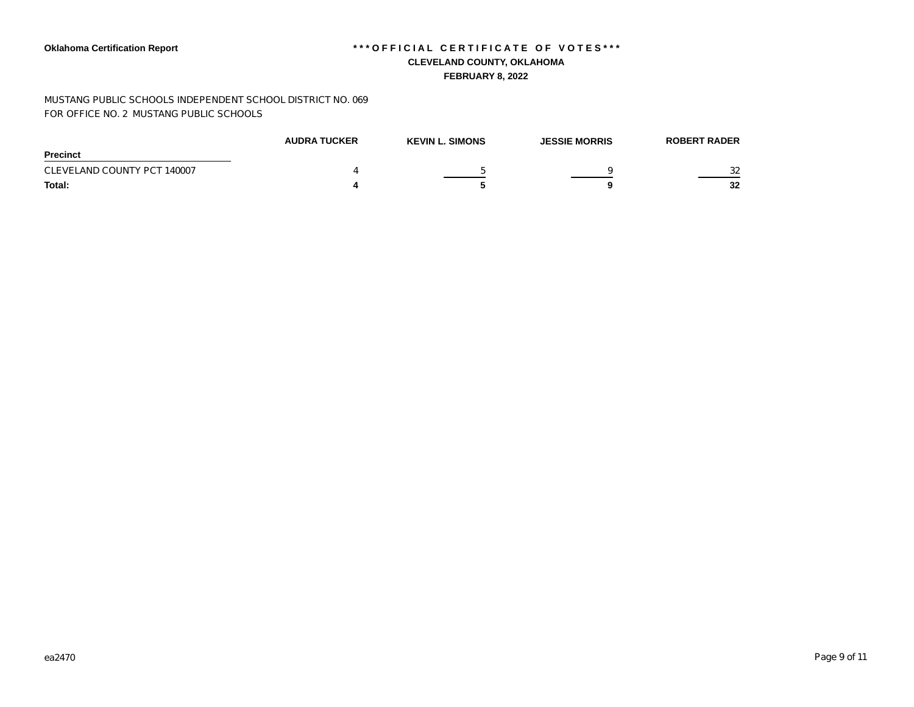MUSTANG PUBLIC SCHOOLS INDEPENDENT SCHOOL DISTRICT NO. 069 FOR OFFICE NO. 2 MUSTANG PUBLIC SCHOOLS

|                             | <b>AUDRA TUCKER</b> | <b>KEVIN L. SIMONS</b> | <b>JESSIE MORRIS</b> | <b>ROBERT RADER</b> |
|-----------------------------|---------------------|------------------------|----------------------|---------------------|
| <b>Precinct</b>             |                     |                        |                      |                     |
| CLEVELAND COUNTY PCT 140007 |                     |                        |                      | 32                  |
| Total:                      |                     |                        |                      | 32                  |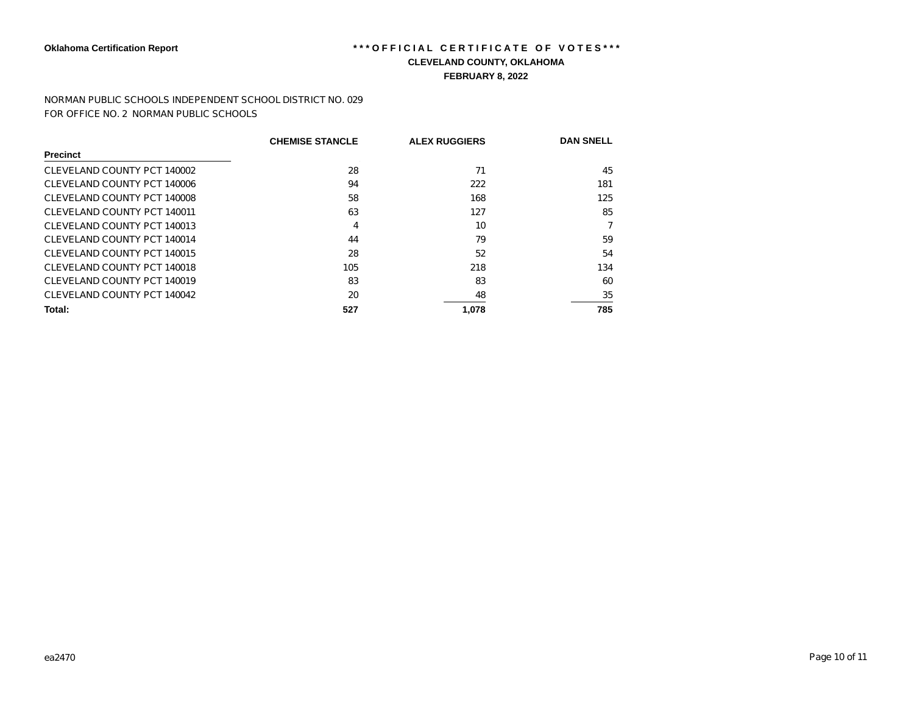NORMAN PUBLIC SCHOOLS INDEPENDENT SCHOOL DISTRICT NO. 029 FOR OFFICE NO. 2 NORMAN PUBLIC SCHOOLS

|                             | <b>CHEMISE STANCLE</b> | <b>ALEX RUGGIERS</b> | <b>DAN SNELL</b> |
|-----------------------------|------------------------|----------------------|------------------|
| <b>Precinct</b>             |                        |                      |                  |
| CLEVELAND COUNTY PCT 140002 | 28                     | 71                   | 45               |
| CLEVELAND COUNTY PCT 140006 | 94                     | 222                  | 181              |
| CLEVELAND COUNTY PCT 140008 | 58                     | 168                  | 125              |
| CLEVELAND COUNTY PCT 140011 | 63                     | 127                  | 85               |
| CLEVELAND COUNTY PCT 140013 | 4                      | 10                   |                  |
| CLEVELAND COUNTY PCT 140014 | 44                     | 79                   | 59               |
| CLEVELAND COUNTY PCT 140015 | 28                     | 52                   | 54               |
| CLEVELAND COUNTY PCT 140018 | 105                    | 218                  | 134              |
| CLEVELAND COUNTY PCT 140019 | 83                     | 83                   | 60               |
| CLEVELAND COUNTY PCT 140042 | 20                     | 48                   | 35               |
| Total:                      | 527                    | 1,078                | 785              |